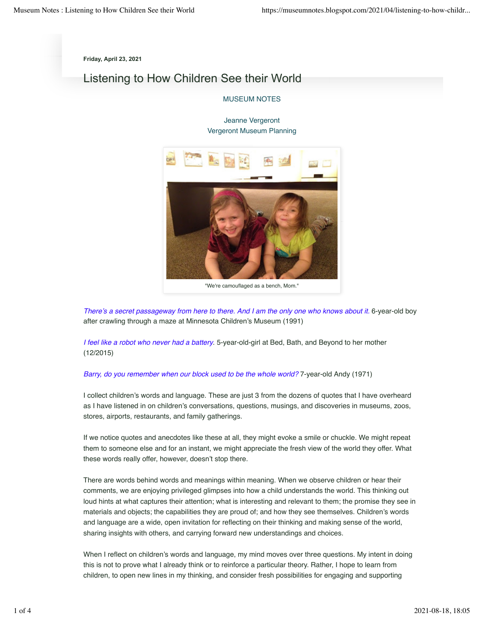**Friday, April 23, 2021**

# Listening to How Children See their World

## MUSEUM NOTES

# Jeanne Vergeront Vergeront Museum Planning



"We're camouflaged as a bench, Mom."

*There's a secret passageway from here to there. And I am the only one who knows about it.* 6-year-old boy after crawling through a maze at Minnesota Children's Museum (1991)

*I feel like a robot who never had a battery*. 5-year-old-girl at Bed, Bath, and Beyond to her mother (12/2015)

#### *Barry, do you remember when our block used to be the whole world?* 7-year-old Andy (1971)

I collect children's words and language. These are just 3 from the dozens of quotes that I have overheard as I have listened in on children's conversations, questions, musings, and discoveries in museums, zoos, stores, airports, restaurants, and family gatherings.

If we notice quotes and anecdotes like these at all, they might evoke a smile or chuckle. We might repeat them to someone else and for an instant, we might appreciate the fresh view of the world they offer. What these words really offer, however, doesn't stop there.

There are words behind words and meanings within meaning. When we observe children or hear their comments, we are enjoying privileged glimpses into how a child understands the world. This thinking out loud hints at what captures their attention; what is interesting and relevant to them; the promise they see in materials and objects; the capabilities they are proud of; and how they see themselves. Children's words and language are a wide, open invitation for reflecting on their thinking and making sense of the world, sharing insights with others, and carrying forward new understandings and choices.

When I reflect on children's words and language, my mind moves over three questions. My intent in doing this is not to prove what I already think or to reinforce a particular theory. Rather, I hope to learn from children, to open new lines in my thinking, and consider fresh possibilities for engaging and supporting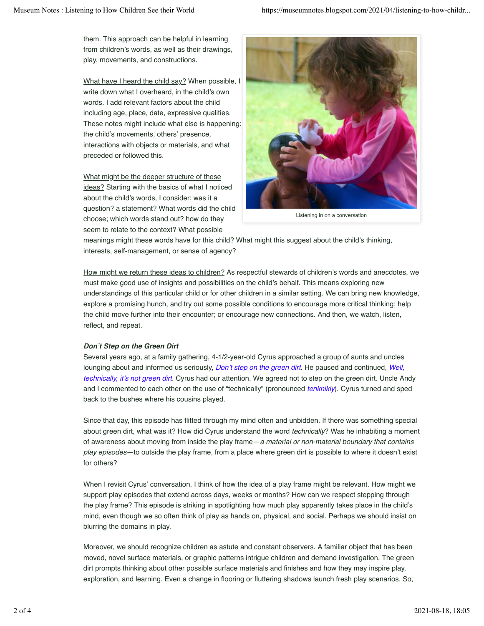them. This approach can be helpful in learning from children's words, as well as their drawings, play, movements, and constructions.

What have I heard the child say? When possible, I write down what I overheard, in the child's own words. I add relevant factors about the child including age, place, date, expressive qualities. These notes might include what else is happening: the child's movements, others' presence, interactions with objects or materials, and what preceded or followed this.

What might be the deeper structure of these ideas? Starting with the basics of what I noticed about the child's words, I consider: was it a question? a statement? What words did the child choose; which words stand out? how do they seem to relate to the context? What possible



Listening in on a conversation

meanings might these words have for this child? What might this suggest about the child's thinking, interests, self-management, or sense of agency?

How might we return these ideas to children? As respectful stewards of children's words and anecdotes, we must make good use of insights and possibilities on the child's behalf. This means exploring new understandings of this particular child or for other children in a similar setting. We can bring new knowledge, explore a promising hunch, and try out some possible conditions to encourage more critical thinking; help the child move further into their encounter; or encourage new connections. And then, we watch, listen, reflect, and repeat.

## *Don't Step on the Green Dirt*

Several years ago, at a family gathering, 4-1/2-year-old Cyrus approached a group of aunts and uncles lounging about and informed us seriously, *Don't step on the green dirt*. He paused and continued, *Well, technically, it's not green dirt*. Cyrus had our attention. We agreed not to step on the green dirt. Uncle Andy and I commented to each other on the use of "technically" (pronounced *tenknikly*). Cyrus turned and sped back to the bushes where his cousins played.

Since that day, this episode has flitted through my mind often and unbidden. If there was something special about green dirt, what was it? How did Cyrus understand the word *technically*? Was he inhabiting a moment of awareness about moving from inside the play frame—*a material or non-material boundary that contains play episodes*—to outside the play frame, from a place where green dirt is possible to where it doesn't exist for others?

When I revisit Cyrus' conversation, I think of how the idea of a play frame might be relevant. How might we support play episodes that extend across days, weeks or months? How can we respect stepping through the play frame? This episode is striking in spotlighting how much play apparently takes place in the child's mind, even though we so often think of play as hands on, physical, and social. Perhaps we should insist on blurring the domains in play.

Moreover, we should recognize children as astute and constant observers. A familiar object that has been moved, novel surface materials, or graphic patterns intrigue children and demand investigation. The green dirt prompts thinking about other possible surface materials and finishes and how they may inspire play, exploration, and learning. Even a change in flooring or fluttering shadows launch fresh play scenarios. So,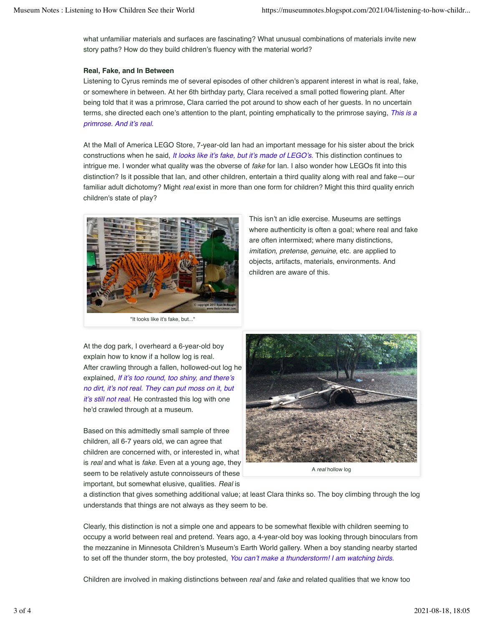what unfamiliar materials and surfaces are fascinating? What unusual combinations of materials invite new story paths? How do they build children's fluency with the material world?

# **Real, Fake, and In Between**

Listening to Cyrus reminds me of several episodes of other children's apparent interest in what is real, fake, or somewhere in between. At her 6th birthday party, Clara received a small potted flowering plant. After being told that it was a primrose, Clara carried the pot around to show each of her guests. In no uncertain terms, she directed each one's attention to the plant, pointing emphatically to the primrose saying, *This is a primrose. And it's real.*

At the Mall of America LEGO Store, 7-year-old Ian had an important message for his sister about the brick constructions when he said, *It looks like it's fake, but it's made of LEGO's.* This distinction continues to intrigue me. I wonder what quality was the obverse of *fake* for Ian. I also wonder how LEGOs fit into this distinction? Is it possible that Ian, and other children, entertain a third quality along with real and fake—our familiar adult dichotomy? Might *real* exist in more than one form for children? Might this third quality enrich children's state of play?



At the dog park, I overheard a 6-year-old boy explain how to know if a hollow log is real. After crawling through a fallen, hollowed-out log he explained, *If it's too round, too shiny, and there's no dirt, it's not real. They can put moss on it, but it's still not real*. He contrasted this log with one he'd crawled through at a museum.

Based on this admittedly small sample of three children, all 6-7 years old, we can agree that children are concerned with, or interested in, what is *real* and what is *fake*. Even at a young age, they seem to be relatively astute connoisseurs of these important, but somewhat elusive, qualities. *Real* is

A *real* hollow log

a distinction that gives something additional value; at least Clara thinks so. The boy climbing through the log understands that things are not always as they seem to be.

Clearly, this distinction is not a simple one and appears to be somewhat flexible with children seeming to occupy a world between real and pretend. Years ago, a 4-year-old boy was looking through binoculars from the mezzanine in Minnesota Children's Museum's Earth World gallery. When a boy standing nearby started to set off the thunder storm, the boy protested, *You can't make a thunderstorm! I am watching birds.*

Children are involved in making distinctions between *real* and *fake* and related qualities that we know too

This isn't an idle exercise. Museums are settings where authenticity is often a goal; where real and fake are often intermixed; where many distinctions, *imitation*, *pretense*, *genuine*, etc. are applied to objects, artifacts, materials, environments. And children are aware of this.